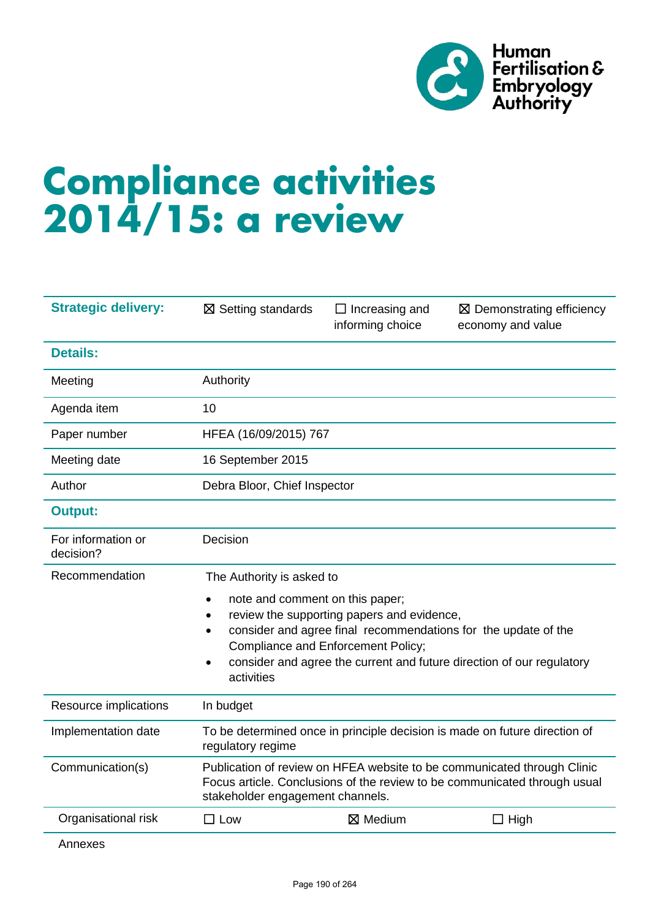

# **Compliance activities 2014/15: a review**

| <b>Strategic delivery:</b>      | $\boxtimes$ Setting standards                                                                                                                                                                                                                                                                                            | $\Box$ Increasing and<br>informing choice | $\boxtimes$ Demonstrating efficiency<br>economy and value |
|---------------------------------|--------------------------------------------------------------------------------------------------------------------------------------------------------------------------------------------------------------------------------------------------------------------------------------------------------------------------|-------------------------------------------|-----------------------------------------------------------|
| <b>Details:</b>                 |                                                                                                                                                                                                                                                                                                                          |                                           |                                                           |
| Meeting                         | Authority                                                                                                                                                                                                                                                                                                                |                                           |                                                           |
| Agenda item                     | 10                                                                                                                                                                                                                                                                                                                       |                                           |                                                           |
| Paper number                    | HFEA (16/09/2015) 767                                                                                                                                                                                                                                                                                                    |                                           |                                                           |
| Meeting date                    | 16 September 2015                                                                                                                                                                                                                                                                                                        |                                           |                                                           |
| Author                          | Debra Bloor, Chief Inspector                                                                                                                                                                                                                                                                                             |                                           |                                                           |
| <b>Output:</b>                  |                                                                                                                                                                                                                                                                                                                          |                                           |                                                           |
| For information or<br>decision? | Decision                                                                                                                                                                                                                                                                                                                 |                                           |                                                           |
| Recommendation                  | The Authority is asked to                                                                                                                                                                                                                                                                                                |                                           |                                                           |
|                                 | note and comment on this paper;<br>$\bullet$<br>review the supporting papers and evidence,<br>٠<br>consider and agree final recommendations for the update of the<br>$\bullet$<br>Compliance and Enforcement Policy;<br>consider and agree the current and future direction of our regulatory<br>$\bullet$<br>activities |                                           |                                                           |
| Resource implications           | In budget                                                                                                                                                                                                                                                                                                                |                                           |                                                           |
| Implementation date             | To be determined once in principle decision is made on future direction of<br>regulatory regime                                                                                                                                                                                                                          |                                           |                                                           |
| Communication(s)                | Publication of review on HFEA website to be communicated through Clinic<br>Focus article. Conclusions of the review to be communicated through usual<br>stakeholder engagement channels.                                                                                                                                 |                                           |                                                           |
| Organisational risk             | $\square$ Low                                                                                                                                                                                                                                                                                                            | ⊠ Medium                                  | $\Box$ High                                               |
| Annexes                         |                                                                                                                                                                                                                                                                                                                          |                                           |                                                           |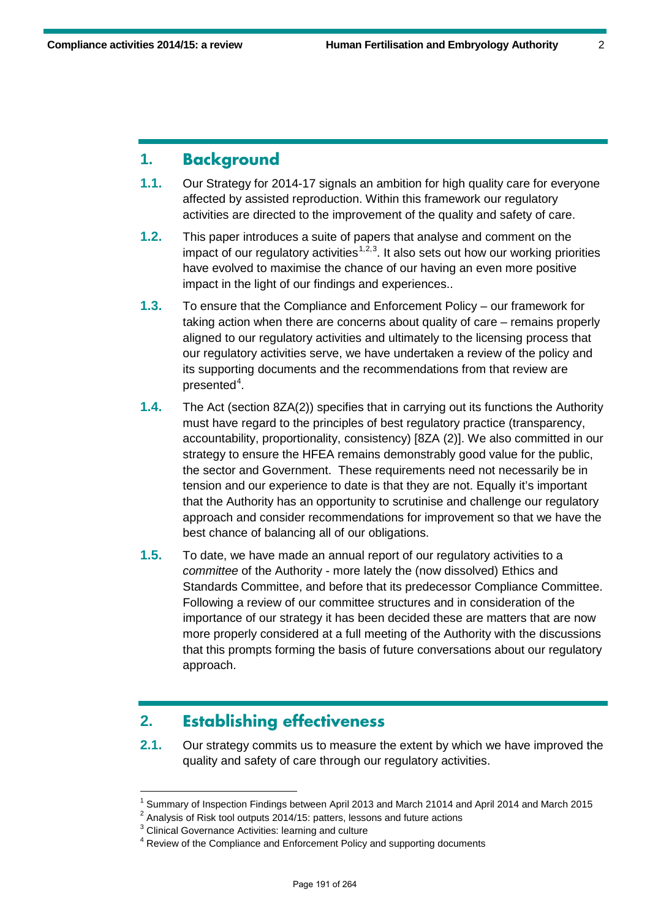#### **1. Background**

- **1.1.** Our Strategy for 2014-17 signals an ambition for high quality care for everyone affected by assisted reproduction. Within this framework our regulatory activities are directed to the improvement of the quality and safety of care.
- **1.2.** This paper introduces a suite of papers that analyse and comment on the impact of our regulatory activities<sup> $1,2,3$  $1,2,3$  $1,2,3$ </sup>. It also sets out how our working priorities have evolved to maximise the chance of our having an even more positive impact in the light of our findings and experiences..
- **1.3.** To ensure that the Compliance and Enforcement Policy our framework for taking action when there are concerns about quality of care – remains properly aligned to our regulatory activities and ultimately to the licensing process that our regulatory activities serve, we have undertaken a review of the policy and its supporting documents and the recommendations from that review are presented<sup>[4](#page-1-3)</sup>.
- **1.4.** The Act (section 8ZA(2)) specifies that in carrying out its functions the Authority must have regard to the principles of best regulatory practice (transparency, accountability, proportionality, consistency) [8ZA (2)]. We also committed in our strategy to ensure the HFEA remains demonstrably good value for the public, the sector and Government. These requirements need not necessarily be in tension and our experience to date is that they are not. Equally it's important that the Authority has an opportunity to scrutinise and challenge our regulatory approach and consider recommendations for improvement so that we have the best chance of balancing all of our obligations.
- **1.5.** To date, we have made an annual report of our regulatory activities to a *committee* of the Authority - more lately the (now dissolved) Ethics and Standards Committee, and before that its predecessor Compliance Committee. Following a review of our committee structures and in consideration of the importance of our strategy it has been decided these are matters that are now more properly considered at a full meeting of the Authority with the discussions that this prompts forming the basis of future conversations about our regulatory approach.

## **2. Establishing effectiveness**

**2.1.** Our strategy commits us to measure the extent by which we have improved the quality and safety of care through our regulatory activities.

 $<sup>1</sup>$  Summary of Inspection Findings between April 2013 and March 21014 and April 2014 and March 2015</sup>

<span id="page-1-2"></span><span id="page-1-1"></span><span id="page-1-0"></span> $2$  Analysis of Risk tool outputs 2014/15: patters, lessons and future actions

<sup>&</sup>lt;sup>3</sup> Clinical Governance Activities: learning and culture

<span id="page-1-3"></span><sup>&</sup>lt;sup>4</sup> Review of the Compliance and Enforcement Policy and supporting documents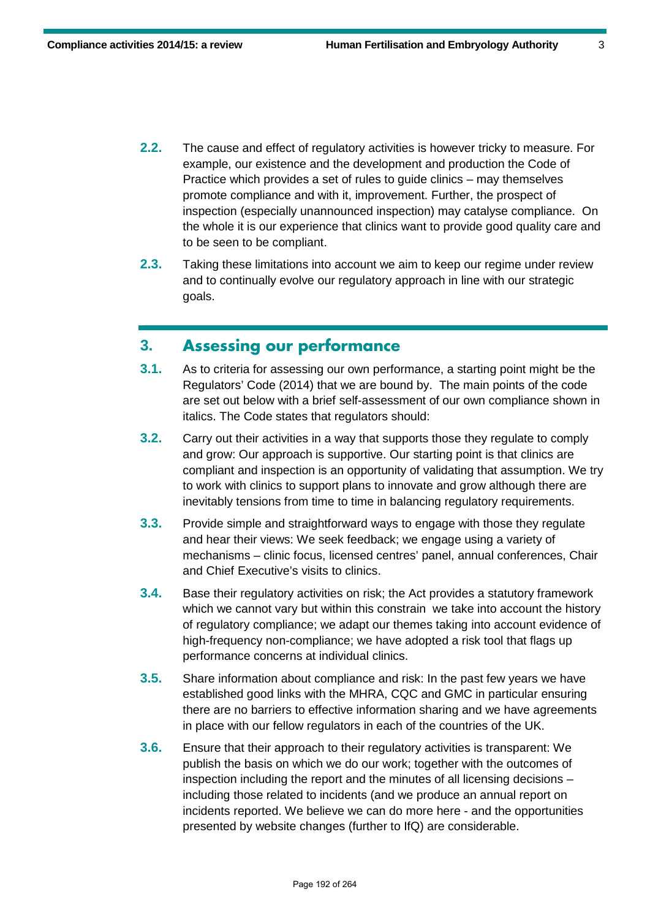- **2.2.** The cause and effect of regulatory activities is however tricky to measure. For example, our existence and the development and production the Code of Practice which provides a set of rules to guide clinics – may themselves promote compliance and with it, improvement. Further, the prospect of inspection (especially unannounced inspection) may catalyse compliance. On the whole it is our experience that clinics want to provide good quality care and to be seen to be compliant.
- **2.3.** Taking these limitations into account we aim to keep our regime under review and to continually evolve our regulatory approach in line with our strategic goals.

#### **3. Assessing our performance**

- **3.1.** As to criteria for assessing our own performance, a starting point might be the Regulators' Code (2014) that we are bound by. The main points of the code are set out below with a brief self-assessment of our own compliance shown in italics. The Code states that regulators should:
- **3.2.** Carry out their activities in a way that supports those they regulate to comply and grow: Our approach is supportive. Our starting point is that clinics are compliant and inspection is an opportunity of validating that assumption. We try to work with clinics to support plans to innovate and grow although there are inevitably tensions from time to time in balancing regulatory requirements.
- **3.3.** Provide simple and straightforward ways to engage with those they regulate and hear their views: We seek feedback; we engage using a variety of mechanisms – clinic focus, licensed centres' panel, annual conferences, Chair and Chief Executive's visits to clinics.
- **3.4.** Base their regulatory activities on risk; the Act provides a statutory framework which we cannot vary but within this constrain we take into account the history of regulatory compliance; we adapt our themes taking into account evidence of high-frequency non-compliance; we have adopted a risk tool that flags up performance concerns at individual clinics.
- **3.5.** Share information about compliance and risk: In the past few years we have established good links with the MHRA, CQC and GMC in particular ensuring there are no barriers to effective information sharing and we have agreements in place with our fellow regulators in each of the countries of the UK.
- **3.6.** Ensure that their approach to their regulatory activities is transparent: We publish the basis on which we do our work; together with the outcomes of inspection including the report and the minutes of all licensing decisions – including those related to incidents (and we produce an annual report on incidents reported. We believe we can do more here - and the opportunities presented by website changes (further to IfQ) are considerable.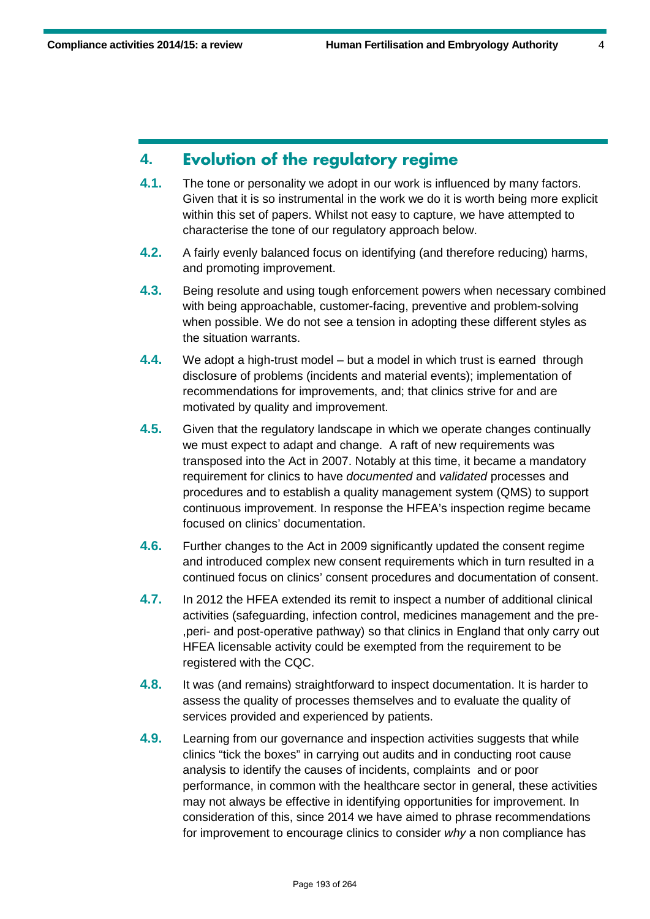### **4. Evolution of the regulatory regime**

- **4.1.** The tone or personality we adopt in our work is influenced by many factors. Given that it is so instrumental in the work we do it is worth being more explicit within this set of papers. Whilst not easy to capture, we have attempted to characterise the tone of our regulatory approach below.
- **4.2.** A fairly evenly balanced focus on identifying (and therefore reducing) harms, and promoting improvement.
- **4.3.** Being resolute and using tough enforcement powers when necessary combined with being approachable, customer-facing, preventive and problem-solving when possible. We do not see a tension in adopting these different styles as the situation warrants.
- **4.4.** We adopt a high-trust model but a model in which trust is earned through disclosure of problems (incidents and material events); implementation of recommendations for improvements, and; that clinics strive for and are motivated by quality and improvement.
- **4.5.** Given that the regulatory landscape in which we operate changes continually we must expect to adapt and change. A raft of new requirements was transposed into the Act in 2007. Notably at this time, it became a mandatory requirement for clinics to have *documented* and *validated* processes and procedures and to establish a quality management system (QMS) to support continuous improvement. In response the HFEA's inspection regime became focused on clinics' documentation.
- **4.6.** Further changes to the Act in 2009 significantly updated the consent regime and introduced complex new consent requirements which in turn resulted in a continued focus on clinics' consent procedures and documentation of consent.
- **4.7.** In 2012 the HFEA extended its remit to inspect a number of additional clinical activities (safeguarding, infection control, medicines management and the pre- ,peri- and post-operative pathway) so that clinics in England that only carry out HFEA licensable activity could be exempted from the requirement to be registered with the CQC.
- **4.8.** It was (and remains) straightforward to inspect documentation. It is harder to assess the quality of processes themselves and to evaluate the quality of services provided and experienced by patients.
- **4.9.** Learning from our governance and inspection activities suggests that while clinics "tick the boxes" in carrying out audits and in conducting root cause analysis to identify the causes of incidents, complaints and or poor performance, in common with the healthcare sector in general, these activities may not always be effective in identifying opportunities for improvement. In consideration of this, since 2014 we have aimed to phrase recommendations for improvement to encourage clinics to consider *why* a non compliance has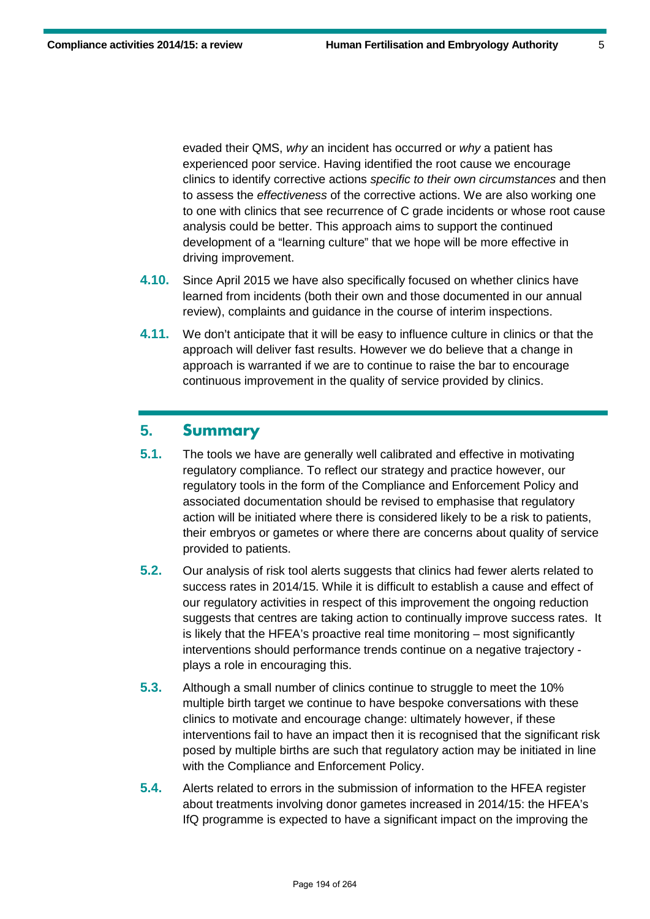evaded their QMS, *why* an incident has occurred or *why* a patient has experienced poor service. Having identified the root cause we encourage clinics to identify corrective actions *specific to their own circumstances* and then to assess the *effectiveness* of the corrective actions. We are also working one to one with clinics that see recurrence of C grade incidents or whose root cause analysis could be better. This approach aims to support the continued development of a "learning culture" that we hope will be more effective in driving improvement.

- **4.10.** Since April 2015 we have also specifically focused on whether clinics have learned from incidents (both their own and those documented in our annual review), complaints and guidance in the course of interim inspections.
- **4.11.** We don't anticipate that it will be easy to influence culture in clinics or that the approach will deliver fast results. However we do believe that a change in approach is warranted if we are to continue to raise the bar to encourage continuous improvement in the quality of service provided by clinics.

### **5. Summary**

- **5.1.** The tools we have are generally well calibrated and effective in motivating regulatory compliance. To reflect our strategy and practice however, our regulatory tools in the form of the Compliance and Enforcement Policy and associated documentation should be revised to emphasise that regulatory action will be initiated where there is considered likely to be a risk to patients, their embryos or gametes or where there are concerns about quality of service provided to patients.
- **5.2.** Our analysis of risk tool alerts suggests that clinics had fewer alerts related to success rates in 2014/15. While it is difficult to establish a cause and effect of our regulatory activities in respect of this improvement the ongoing reduction suggests that centres are taking action to continually improve success rates. It is likely that the HFEA's proactive real time monitoring – most significantly interventions should performance trends continue on a negative trajectory plays a role in encouraging this.
- **5.3.** Although a small number of clinics continue to struggle to meet the 10% multiple birth target we continue to have bespoke conversations with these clinics to motivate and encourage change: ultimately however, if these interventions fail to have an impact then it is recognised that the significant risk posed by multiple births are such that regulatory action may be initiated in line with the Compliance and Enforcement Policy.
- **5.4.** Alerts related to errors in the submission of information to the HFEA register about treatments involving donor gametes increased in 2014/15: the HFEA's IfQ programme is expected to have a significant impact on the improving the